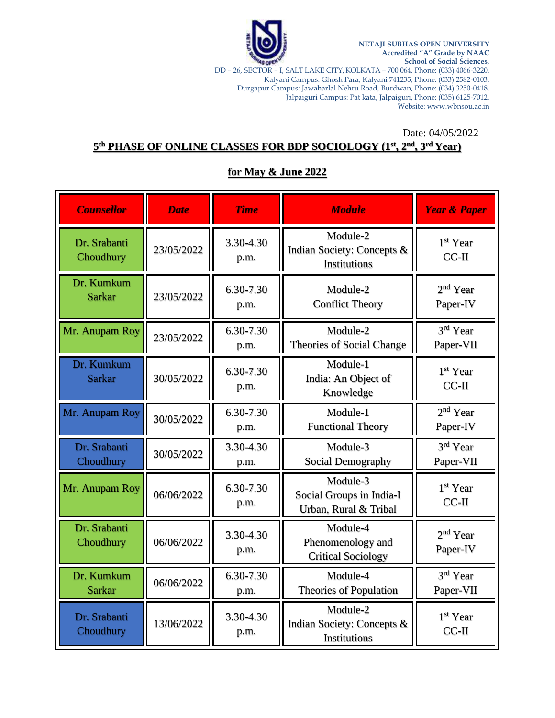

**NETAJI SUBHAS OPEN UNIVERSITY Accredited "A" Grade by NAAC School of Social Sciences,**

DD – 26, SECTOR – I, SALT LAKE CITY, KOLKATA – 700 064. Phone: (033) 4066-3220, Kalyani Campus: Ghosh Para, Kalyani 741235; Phone: (033) 2582-0103, Durgapur Campus: Jawaharlal Nehru Road, Burdwan, Phone: (034) 3250-0418, Jalpaiguri Campus: Pat kata, Jalpaiguri, Phone: (035) 6125-7012, Website[: www.wbnsou.ac.in](http://www.wbnsou.ac.in/)

## Date: 04/05/2022 **5 th PHASE OF ONLINE CLASSES FOR BDP SOCIOLOGY (1st, 2nd, 3rd Year)**

# **for May & June 2022**

| <b>Counsellor</b>           | <b>Date</b> | <b>Time</b>       | <b>Module</b>                                                 | <b>Year &amp; Paper</b>          |
|-----------------------------|-------------|-------------------|---------------------------------------------------------------|----------------------------------|
| Dr. Srabanti<br>Choudhury   | 23/05/2022  | 3.30-4.30<br>p.m. | Module-2<br>Indian Society: Concepts &<br>Institutions        | 1 <sup>st</sup> Year<br>$CC-II$  |
| Dr. Kumkum<br><b>Sarkar</b> | 23/05/2022  | 6.30-7.30<br>p.m. | Module-2<br><b>Conflict Theory</b>                            | 2 <sup>nd</sup> Year<br>Paper-IV |
| Mr. Anupam Roy              | 23/05/2022  | 6.30-7.30<br>p.m. | Module-2<br>Theories of Social Change                         | 3rd Year<br>Paper-VII            |
| Dr. Kumkum<br><b>Sarkar</b> | 30/05/2022  | 6.30-7.30<br>p.m. | Module-1<br>India: An Object of<br>Knowledge                  | 1 <sup>st</sup> Year<br>$CC-II$  |
| Mr. Anupam Roy              | 30/05/2022  | 6.30-7.30<br>p.m. | Module-1<br><b>Functional Theory</b>                          | $2nd$ Year<br>Paper-IV           |
| Dr. Srabanti<br>Choudhury   | 30/05/2022  | 3.30-4.30<br>p.m. | Module-3<br>Social Demography                                 | 3rd Year<br>Paper-VII            |
| Mr. Anupam Roy              | 06/06/2022  | 6.30-7.30<br>p.m. | Module-3<br>Social Groups in India-I<br>Urban, Rural & Tribal | 1 <sup>st</sup> Year<br>$CC-II$  |
| Dr. Srabanti<br>Choudhury   | 06/06/2022  | 3.30-4.30<br>p.m. | Module-4<br>Phenomenology and<br><b>Critical Sociology</b>    | $2nd$ Year<br>Paper-IV           |
| Dr. Kumkum<br><b>Sarkar</b> | 06/06/2022  | 6.30-7.30<br>p.m. | Module-4<br><b>Theories of Population</b>                     | 3rd Year<br>Paper-VII            |
| Dr. Srabanti<br>Choudhury   | 13/06/2022  | 3.30-4.30<br>p.m. | Module-2<br>Indian Society: Concepts &<br>Institutions        | 1 <sup>st</sup> Year<br>$CC-II$  |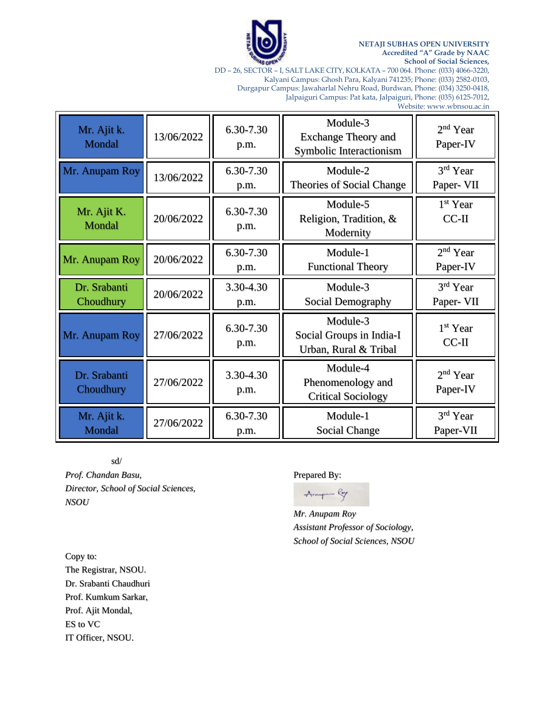

#### **NETAJI SUBHAS OPEN UNIVERSITY Accredited "A" Grade by NAAC School of Social Sciences,**

DD – 26, SECTOR – I, SALT LAKE CITY, KOLKATA – 700 064. Phone: (033) 4066-3220, Kalyani Campus: Ghosh Para, Kalyani 741235; Phone: (033) 2582-0103, Durgapur Campus: Jawaharlal Nehru Road, Burdwan, Phone: (034) 3250-0418, Jalpaiguri Campus: Pat kata, Jalpaiguri, Phone: (035) 6125-7012,

Website[: www.wbnsou.ac.in](http://www.wbnsou.ac.in/)

┓

| Mr. Ajit k.<br>Mondal     | 13/06/2022 | 6.30-7.30<br>p.m. | Module-3<br><b>Exchange Theory and</b><br>Symbolic Interactionism | 2 <sup>nd</sup> Year<br>Paper-IV |
|---------------------------|------------|-------------------|-------------------------------------------------------------------|----------------------------------|
| Mr. Anupam Roy            | 13/06/2022 | 6.30-7.30<br>p.m. | Module-2<br>Theories of Social Change                             | 3rd Year<br>Paper- VII           |
| Mr. Ajit K.<br>Mondal     | 20/06/2022 | 6.30-7.30<br>p.m. | Module-5<br>Religion, Tradition, &<br>Modernity                   | 1 <sup>st</sup> Year<br>$CC-II$  |
| Mr. Anupam Roy            | 20/06/2022 | 6.30-7.30<br>p.m. | Module-1<br><b>Functional Theory</b>                              | $2nd$ Year<br>Paper-IV           |
| Dr. Srabanti<br>Choudhury | 20/06/2022 | 3.30-4.30<br>p.m. | Module-3<br>Social Demography                                     | $3rd$ Year<br>Paper- VII         |
| Mr. Anupam Roy            | 27/06/2022 | 6.30-7.30<br>p.m. | Module-3<br>Social Groups in India-I<br>Urban, Rural & Tribal     | 1 <sup>st</sup> Year<br>$CC-II$  |
| Dr. Srabanti<br>Choudhury | 27/06/2022 | 3.30-4.30<br>p.m. | Module-4<br>Phenomenology and<br><b>Critical Sociology</b>        | $2nd$ Year<br>Paper-IV           |
| Mr. Ajit k.<br>Mondal     | 27/06/2022 | 6.30-7.30         | Module-1<br>Social Change                                         | 3rd Year<br>Paper-VII            |

sd/

*Prof. Chandan Basu, Director, School of Social Sciences, NSOU*

### Prepared By:

Amper Roy

*Mr. Anupam Roy Assistant Professor of Sociology, School of Social Sciences, NSOU*

Copy to: The Registrar, NSOU. Dr. Srabanti Chaudhuri Prof. Kumkum Sarkar, Prof. Ajit Mondal, ES to VC IT Officer, NSOU.